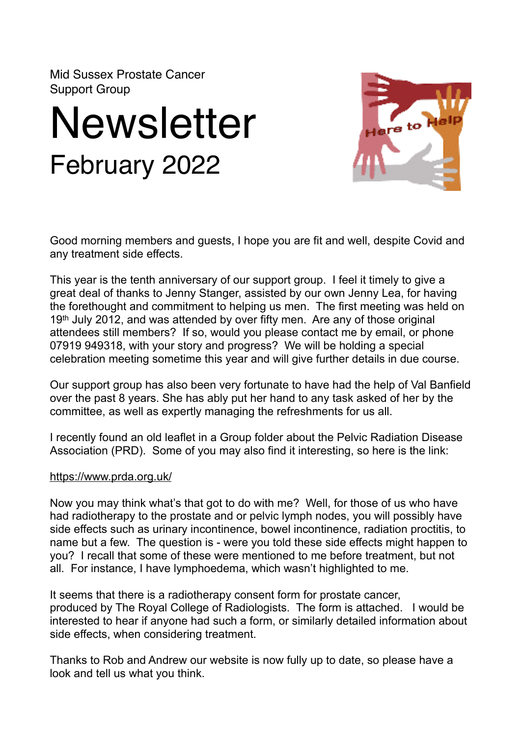Mid Sussex Prostate Cancer Support Group

## **Newsletter** February 2022



Good morning members and guests, I hope you are fit and well, despite Covid and any treatment side effects.

This year is the tenth anniversary of our support group. I feel it timely to give a great deal of thanks to Jenny Stanger, assisted by our own Jenny Lea, for having the forethought and commitment to helping us men. The first meeting was held on 19th July 2012, and was attended by over fifty men. Are any of those original attendees still members? If so, would you please contact me by email, or phone 07919 949318, with your story and progress? We will be holding a special celebration meeting sometime this year and will give further details in due course.

Our support group has also been very fortunate to have had the help of Val Banfield over the past 8 years. She has ably put her hand to any task asked of her by the committee, as well as expertly managing the refreshments for us all.

I recently found an old leaflet in a Group folder about the Pelvic Radiation Disease Association (PRD). Some of you may also find it interesting, so here is the link:

## <https://www.prda.org.uk/>

Now you may think what's that got to do with me? Well, for those of us who have had radiotherapy to the prostate and or pelvic lymph nodes, you will possibly have side effects such as urinary incontinence, bowel incontinence, radiation proctitis, to name but a few. The question is - were you told these side effects might happen to you? I recall that some of these were mentioned to me before treatment, but not all. For instance, I have lymphoedema, which wasn't highlighted to me.

It seems that there is a radiotherapy consent form for prostate cancer, produced by The Royal College of Radiologists. The form is attached. I would be interested to hear if anyone had such a form, or similarly detailed information about side effects, when considering treatment.

Thanks to Rob and Andrew our website is now fully up to date, so please have a look and tell us what you think.